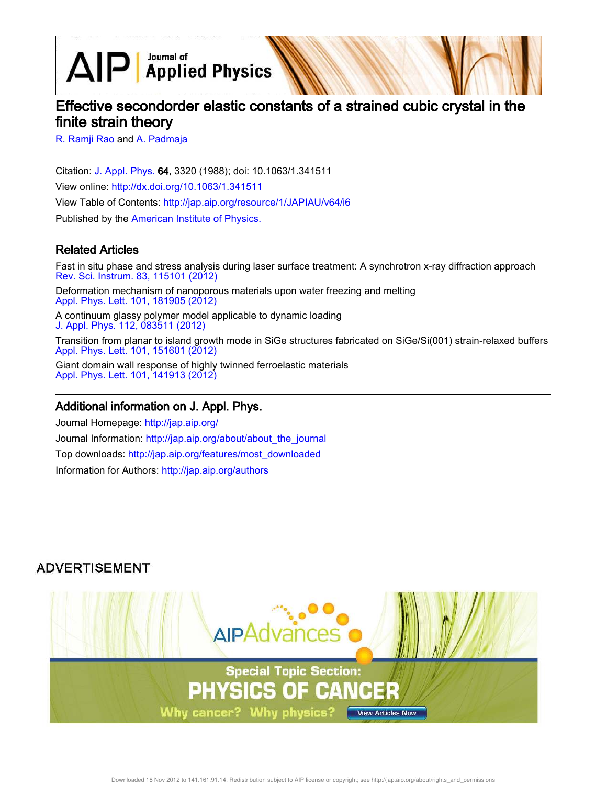$\text{AlP}$  Applied Physics

# Effective secondorder elastic constants of a strained cubic crystal in the finite strain theory

R. Ramji Rao and A. Padmaja

Citation: J. Appl. Phys. 64, 3320 (1988); doi: 10.1063/1.341511 View online: http://dx.doi.org/10.1063/1.341511 View Table of Contents: http://jap.aip.org/resource/1/JAPIAU/v64/i6 Published by the American Institute of Physics.

#### Related Articles

Fast in situ phase and stress analysis during laser surface treatment: A synchrotron x-ray diffraction approach Rev. Sci. Instrum. 83, 115101 (2012) Deformation mechanism of nanoporous materials upon water freezing and melting

Appl. Phys. Lett. 101, 181905 (2012)

A continuum glassy polymer model applicable to dynamic loading J. Appl. Phys. 112, 083511 (2012)

Transition from planar to island growth mode in SiGe structures fabricated on SiGe/Si(001) strain-relaxed buffers Appl. Phys. Lett. 101, 151601 (2012)

Giant domain wall response of highly twinned ferroelastic materials Appl. Phys. Lett. 101, 141913 (2012)

#### Additional information on J. Appl. Phys.

Journal Homepage: http://jap.aip.org/ Journal Information: http://jap.aip.org/about/about\_the\_journal Top downloads: http://jap.aip.org/features/most\_downloaded Information for Authors: http://jap.aip.org/authors

## **ADVERTISEMENT**

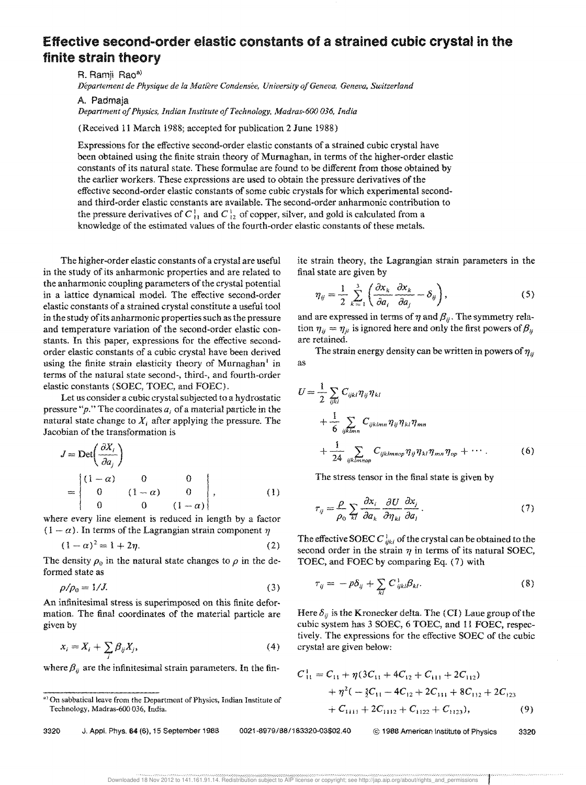## **Effective second-order elastic constants of a strained cubic crystal in the finite strain theory**

R. Ramji Rao<sup>a)</sup>

*Departement de Physique de la Matiere Condensee, University oj Geneva, Geneva, Switzerland* 

A. Padmaja

*Department of Physics, Indian Institute a/Technology, Madras-600 036, India* 

(Received 11 March 1988; accepted for publication 2 June 1988)

Expressions for the effective second-order elastic constants of a strained cubic crystal have been obtained using the finite strain theory of Murnaghan, in terms of the higher-order elastic constants of its natural state. These formulae are found to be different from those obtained by the earlier workers. These expressions are used to obtain the pressure derivatives of the effective second-order elastic constants of some cubic crystals for which experimental secondand third-order elastic constants are available. The second-order anharmonic contribution to the pressure derivatives of  $C_{11}^1$  and  $C_{12}^1$  of copper, silver, and gold is calculated from a knowledge of the estimated values of the fourth-order elastic constants of these metals.

The higher-order elastic constants of a crystal are useful in the study of its anharmonic properties and are related to the anharmonic coupling parameters of the crystal potential in a lattice dynamical model. The effective second-order elastic constants of a strained crystal constitute a useful tool in the study of its anharmonic properties such as the pressure and temperature variation of the second-order elastic constants. In this paper, expressions for the effective secondorder elastic constants of a cubic crystal have been derived using the finite strain elasticity theory of Murnaghan<sup>1</sup> in terms of the natural state second-, third-, and fourth-order elastic constants (SOEC, TOEC, and FOEC).

Let us consider a cubic crystal subjected to a hydrostatic pressure "p." The coordinates  $a_i$  of a material particle in the natural state change to  $X_i$  after applying the pressure. The Jacobian of the transformation is

$$
J = \text{Det}\left(\frac{\partial X_i}{\partial a_j}\right)
$$
  
= 
$$
\begin{vmatrix} (1-\alpha) & 0 & 0 \\ 0 & (1-\alpha) & 0 \\ 0 & 0 & (1-\alpha) \end{vmatrix},
$$
 (1)

where every line element is reduced in iength by a factor  $(1 - \alpha)$ . In terms of the Lagrangian strain component  $\eta$ 

$$
(1 - \alpha)^2 = 1 + 2\eta. \tag{2}
$$

The density  $\rho_0$  in the natural state changes to  $\rho$  in the deformed state as

$$
\rho/\rho_0 = 1/J. \tag{3}
$$

An infinitesimal stress is superimposed on this finite deformation. The final coordinates of the material particle are given by

$$
x_i = X_i + \sum_j \beta_{ij} X_j,\tag{4}
$$

where  $\beta_{ij}$  are the infinitesimal strain parameters. In the fin-

3320 J. AppL Phys. 64 (6), 15 September 1986 *0021-8979/88/163320-03\$02.40* © 1988 American Institute of Physics 3320

ite strain theory, the Lagrangian strain parameters in the final state are given by

$$
\eta_{ij} = \frac{1}{2} \sum_{k=1}^{3} \left( \frac{\partial x_k}{\partial a_i} \frac{\partial x_k}{\partial a_j} - \delta_{ij} \right), \tag{5}
$$

and are expressed in terms of  $\eta$  and  $\beta_{ij}$ . The symmetry relation  $\eta_{ij} = \eta_{ji}$  is ignored here and only the first powers of  $\beta_{ij}$ are retained.

as The strain energy density can be written in powers of  $\eta_{ji}$ 

$$
U = \frac{1}{2} \sum_{ijkl} C_{ijkl} \eta_{ij} \eta_{kl}
$$
  
+ 
$$
\frac{1}{6} \sum_{ijklmn} C_{ijklmn} \eta_{ij} \eta_{kl} \eta_{mn}
$$
  
+ 
$$
\frac{1}{24} \sum_{ijklmnop} C_{ijklmnop} \eta_{ij} \eta_{kl} \eta_{mn} \eta_{op} + \cdots
$$
 (6)

The stress tensor in the final state is given by

$$
\tau_{ij} = \frac{\rho}{\rho_0} \sum_{kl} \frac{\partial x_i}{\partial a_k} \frac{\partial U}{\partial \eta_{kl}} \frac{\partial x_j}{\partial a_l}.
$$
 (7)

The effective SOEC C  $\frac{1}{ijkl}$  of the crystal can be obtained to the second order in the strain  $\eta$  in terms of its natural SOEC, TOEC, and FOEC by comparing Eq. (7) with

$$
\tau_{ij} = -p\delta_{ij} + \sum_{kl} C_{ijkl}^1 \beta_{kl}.
$$
 (8)

Here  $\delta_{ij}$  is the Kronecker delta. The (CI) Laue group of the cubic system has 3 SOEC, 6 TOEC, and 11 FOEC, respectively. The expressions for the effective SOEC of the cubic crystal are given below:

$$
C_{11}^1 = C_{11} + \eta (3C_{11} + 4C_{12} + C_{111} + 2C_{112})
$$
  
+ 
$$
\eta^2 (-\frac{5}{2}C_{11} - 4C_{12} + 2C_{111} + 8C_{112} + 2C_{123})
$$
  
+ 
$$
C_{1111} + 2C_{1112} + C_{1122} + C_{1123}),
$$
 (9)

a) On sabbatical leave from the Department of Physics, Indian Institute of Technology, Madras-600 *036,* India.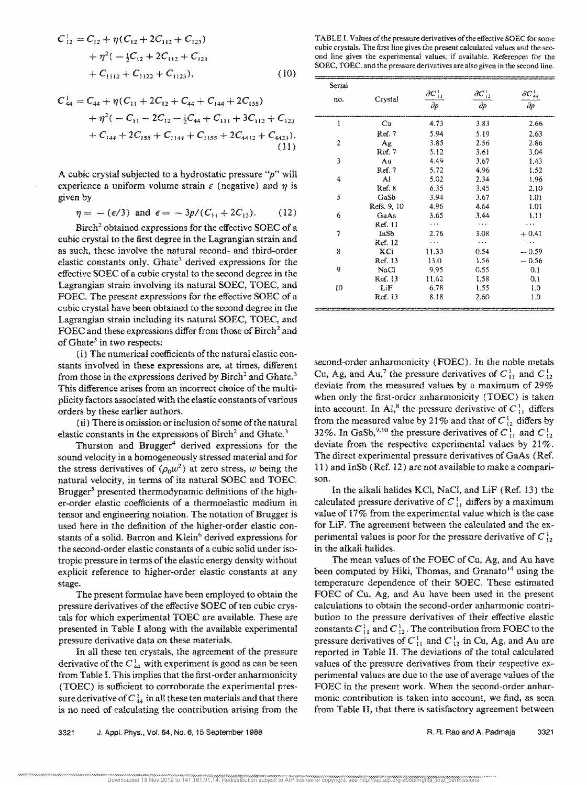$$
C_{12}^{1} = C_{12} + \eta (C_{12} + 2C_{112} + C_{123})
$$
  
+  $\eta^{2}(-\frac{1}{2}C_{12} + 2C_{112} + C_{123})$   
+  $C_{1112} + C_{1122} + C_{1123}),$  (10)

$$
C_{44}^1 = C_{44} + \eta (C_{11} + 2C_{12} + C_{44} + C_{144} + 2C_{155})
$$
  
+ 
$$
\eta^2 (-C_{11} - 2C_{12} - \frac{1}{2}C_{44} + C_{111} + 3C_{112} + C_{123} + C_{144} + 2C_{155} + C_{1144} + C_{1155} + 2C_{4412} + C_{4423}).
$$
  
(11)

A cubic crystal subjected to a hydrostatic pressure *"p"* will experience a uniform volume strain  $\epsilon$  (negative) and  $\eta$  is given by

$$
\eta = -(\epsilon/3) \text{ and } \epsilon = -3p/(C_{11} + 2C_{12}). \qquad (12)
$$

Birch<sup>2</sup> obtained expressions for the effective SOEC of a cubic crystal to the first degree in the Lagrangian strain and as such, these involve the natural second- and third-order elastic constants only. Ghate<sup>3</sup> derived expressions for the effective SOEC of a cubic crystal to the second degree in the Lagrangian strain involving its natural SOEC, TOEC, and FOEC. The present expressions for the effective SOEC of a cubic crystal have been obtained to the second degree in the Lagrangian strain including its natural SOEC, TOEC, and FOEC and these expressions differ from those of Birch<sup>2</sup> and of Ghate<sup>3</sup> in two respects:

(i) The numerical coefficients of the natural elastic constants involved in these expressions are, at times, different from those in the expressions derived by  $B$ irch<sup>2</sup> and Ghate.<sup>3</sup> This difference arises from an incorrect choice of the multi· plicity factors associated with the elastic constants of various orders by these earlier authors.

( ii) There is omission or inclusion of some of the natural elastic constants in the expressions of Birch<sup>2</sup> and Ghate.<sup>3</sup>

Thurston and Brugger<sup>4</sup> derived expressions for the sound velocity in a homogeneously stressed material and for the stress derivatives of  $(\rho_0 w^2)$  at zero stress, *w* being the natural velocity, in terms of its natural SOEC and TOEC. Brugger<sup>5</sup> presented thermodynamic definitions of the higher-order elastic coefficients of a thermoelastic medium in tensor and engineering notation. The notation of Brugger is used here in the definition of the higher-order elastic constants of a solid. Barron and Klein<sup>6</sup> derived expressions for the second-order elastic constants of a cubic solid under isotropic pressure in terms of the elastic energy density without explicit reference to higher-order elastic constants at any stage.

The present formulae have been employed to obtain the pressure derivatives of the effective SOEC of ten cubic crystals for which experimental TOEC are available, These are presented in Table I along with the available experimental pressure derivative data on these materials.

In all these ten crystals, the agreement of the pressure derivative of the  $C_{44}^1$  with experiment is good as can be seen from Table L This implies that the first-order anharmonicity (TOEC) is sufficient to corroborate the experimental pressure derivative of  $C_{44}^{\lambda}$  in all these ten materials and that there is no need of calculating the contribution arising from the

TABLE I. Values of the pressure derivatives of the effective SOEC for some cubic crystals. The first line gives the present calculated values and the second line gives the experimental values, if available. References for the SOEC, TOEC, and the pressure derivatives are also given in the second line.

| Serial |             |                     |                     |                     |
|--------|-------------|---------------------|---------------------|---------------------|
| no.    | Crystal     | $\partial C_{11}^1$ | $\partial C_{12}^1$ | $\partial C_{44}^1$ |
|        |             | $\partial p$        | $\partial p$        | $\partial p$        |
| 1      | Cu          | 4.73                | 3.83                | 2.66                |
|        | Ref. 7      | 5.94                | 5.19                | 2.63                |
| 2      | Ag          | 3.85                | 2.56                | 2.86                |
|        | Ref. 7      | 5.12                | 3.61                | 3.04                |
| 3      | Αu          | 4.49                | 3.67                | 1.43                |
|        | Ref. 7      | 5.72                | 4.96                | 1.52                |
| 4      | Al          | 5.02                | 2.34                | 1.96                |
|        | Ref. 8      | 6.35                | 3.45                | 2.10                |
| 5      | GaSb        | 3.94                | 3.67                | 1.01                |
|        | Refs. 9, 10 | 4.96                | 4.64                | 101                 |
| 6      | GaAs        | 3.65                | 3.44                | 1.11                |
|        | Ref. 11     | .                   | .                   |                     |
| 7      | InSb        | 2.76                | 3.08                | $+0.41$             |
|        | Ref. 12     | .                   | .                   | .                   |
| 8      | KCI         | 11.33               | 0.54                | $-0.59$             |
|        | Ref. 13     | 13.0                | 1.56                | $-0.56$             |
| g      | NaCl        | 9.95                | 0.55                | 0.1                 |
|        | Ref. 13     | 11.62               | 1.58                | 0.1                 |
| 10     | LiF         | 6.78                | 1.55                | 1,0                 |
|        | Ref. 13     | 8.18                | 2.60                | 1.0                 |

second-order anharmonicity (FOEC). In the noble metals Cu, Ag, and Au,<sup>7</sup> the pressure derivatives of  $C_{12}^1$  and  $C_{12}^1$ deviate from the measured values by a maximum of 29% when only the first-order anharmonicity (TOEC) is taken into account. In Al,<sup>8</sup> the pressure derivative of  $C_{11}^1$  differs from the measured value by 21% and that of  $C_{12}^1$  differs by 32%. In GaSb,<sup>9,10</sup> the pressure derivatives of  $C_{11}^1$  and C deviate from the respective experimental values by  $21\%$ . The direct experimental pressure derivatives of GaAs (Ref. 11) and InSb (Ref. 12) are not available to make a comparison.

In the alkali halides KCl, NaCl, and LiF (Ref. 13) the calculated pressure derivative of  $C_{11}^1$  differs by a maximum value of 17% from the experimental value which is the case for LiF. The agreement between the calculated and the experimental values is poor for the pressure derivative of  $C_{12}^1$ in the alkali halides.

The mean values of the FOEC of Cu, Ag, and Au have been computed by Hiki, Thomas, and Granato<sup>14</sup> using the temperature dependence of their SOEC, These estimated FOEC of Cu, Ag, and Au have been used in the present calculations to obtain the second-order anharmonic contribution to the pressure derivatives of their effective elastic constants  $C_{11}^1$  and  $C_{12}^1$ . The contribution from FOEC to the pressure derivatives of  $C_{11}^1$  and  $C_{12}^1$  in Cu, Ag, and Au are reported in Table II. The deviations of the total calculated values of the pressure derivatives from their respective experimental values are due to the use of average values of the FOEC in the present work. When the second-order anharmonic contribution is taken into account, we find, as seen from Table II, that there is satisfactory agreement between

3321 J. Appl. Phys., Vol. 64, No. 6, 15 September 1988